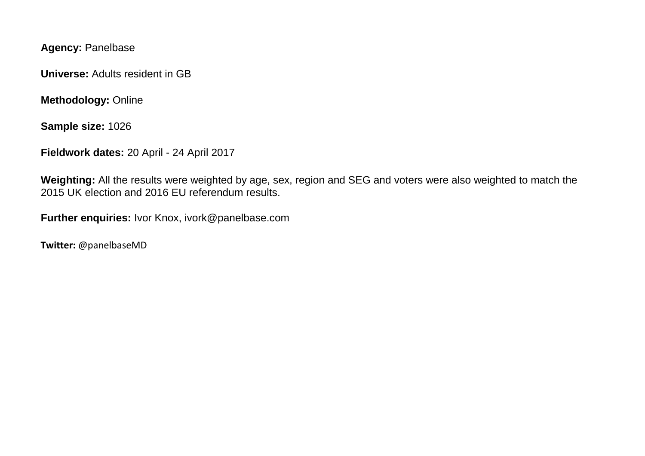**Agency:** Panelbase

**Universe:** Adults resident in GB

**Methodology:** Online

**Sample size:** 1026

**Fieldwork dates:** 20 April - 24 April 2017

**Weighting:** All the results were weighted by age, sex, region and SEG and voters were also weighted to match the 2015 UK election and 2016 EU referendum results.

**Further enquiries:** Ivor Knox, ivork@panelbase.com

**Twitter:** @panelbaseMD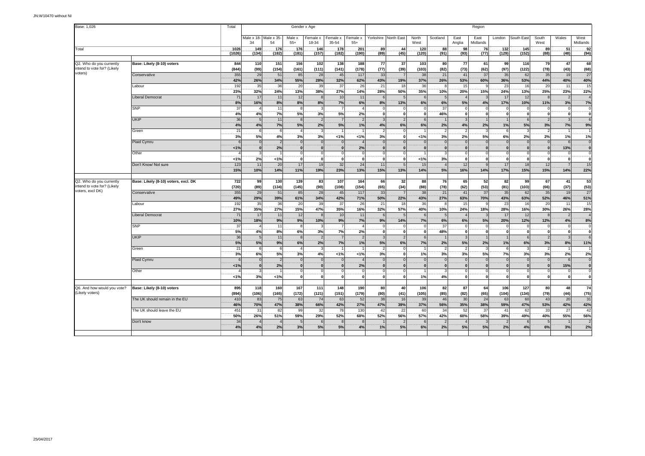| Base: 1,026                                             |                                      | Total          |               |                             |                          | Gender x Age             |                      |                   | Region                     |                                |                          |                                |                                           |                         |                                 |                                  |                           |                               |                                  |  |
|---------------------------------------------------------|--------------------------------------|----------------|---------------|-----------------------------|--------------------------|--------------------------|----------------------|-------------------|----------------------------|--------------------------------|--------------------------|--------------------------------|-------------------------------------------|-------------------------|---------------------------------|----------------------------------|---------------------------|-------------------------------|----------------------------------|--|
|                                                         |                                      |                | 34            | Male x 18- Male x 35-<br>54 | Male x<br>$55+$          | Female x<br>18-34        | Female x<br>35-54    | Female x<br>$55+$ | Yorkshire                  | North East                     | North<br>West            | Scotland                       | East<br>Anglia                            | East<br>Midlands        | London                          | South East                       | South<br>West             | Wales                         | West<br>Midlands                 |  |
| Total                                                   |                                      | 1026<br>(1026) | .149<br>(134) | .176<br>(182)               | .176<br>(181)            | .146<br>(157)            | .178<br>(182)        | .201<br>(190)     | .89<br>(89)                | .44<br>(45)                    | 120<br>(120)             | 88<br>(91)                     | 98<br>(93)                                | .76<br>(77)             | .132<br>(129)                   | .145<br>(152)                    | .89.<br>(88)              | 51<br>(48)                    | 92<br>(94)                       |  |
|                                                         |                                      |                |               |                             |                          |                          |                      |                   |                            |                                |                          |                                |                                           |                         |                                 |                                  |                           |                               |                                  |  |
| Q2. Who do you currently<br>intend to vote for? (Likely | Base: Likely (8-10) voters           | 844<br>(844)   | 110<br>(99)   | 151<br>(154)                | 156<br>(161)             | 102<br>(111)             | 138<br>(141)         | 188<br>(178)      | 77<br>(77)                 | 37<br>(39)                     | 103<br>(103)             | 80<br>(82)                     | 77<br>(73)                                | 61<br>(62)              | 99<br>(97)                      | 116<br>(122)                     | 79<br>(78)                | 47<br>(43)                    | 68<br>(68)                       |  |
| voters)                                                 | Conservative                         | 355<br>42%     | 29<br>26%     | 51<br>34%                   | 85<br>55%                | 28<br>28%                | 45<br>32%            | 117<br>62%        | 33<br>43%                  | 19%                            | 38<br>37%                | 21<br>26%                      | 41<br>53%                                 | 37<br>60%               | 35<br>36%                       | 62<br>53%                        | 35<br>44%                 | 19<br>40%                     | 27<br>40%                        |  |
|                                                         | Labour                               | 192<br>23%     | 35<br>32%     | 36<br>24%                   | 20<br>13%                | 39<br>38%                | 37<br>27%            | 26<br>14%         | 21<br>28%                  | 18<br>50%                      | 36<br>35%                | 8<br>10%                       | 15<br>20%                                 | $\alpha$<br>15%         | 23<br>24%                       | 16<br>13%                        | 20<br>25%                 | 11<br>23%                     | 15<br>22%                        |  |
|                                                         | Liberal Democrat                     | 71             | 17            | 11                          | 12                       | $\mathbf{R}$             | 10                   | 11                | 6                          | 5                              | 6                        | 5                              | $\overline{4}$                            | ß,                      | 17                              | 12                               |                           | $\mathcal{P}$                 |                                  |  |
|                                                         | <b>SNP</b>                           | 8%<br>37       | 16%           | 8%<br>11                    | 8%<br>8                  | 8%                       | 7%                   | 6%                | 8%<br>C                    | 13%<br>$\mathbf 0$             | 6%<br>$\overline{0}$     | 6%<br>37                       | 5%<br>$\mathbf 0$                         | 4%                      | 17%<br>$\mathbf 0$              | 10%<br>$\Omega$                  | 11%                       | 3%<br>$^{\circ}$              | 7%<br>$\Omega$                   |  |
|                                                         | <b>UKIP</b>                          | 4%<br>36       | 4%<br>5       | 7%<br>11                    | 5%<br>8                  | 3%<br>$\overline{2}$     | 5%                   | 2%                | $\mathbf{0}$<br>3          | $\mathbf{0}$<br>$\overline{2}$ | $\mathbf{0}$<br>6        | 46%                            | $\overline{\mathbf{0}}$<br>$\overline{3}$ | $\Omega$                | $\mathbf{0}$                    | $\mathbf{0}$<br>$6 \overline{6}$ | $\Omega$<br>$\mathcal{P}$ | $\mathbf{0}$                  | 6                                |  |
|                                                         |                                      | 4%             | 4%            | 7%                          | 5%                       | 2%                       | 5%                   | 1%                | 4%                         | 6%                             | 6%                       | 2%                             | 4%                                        | 2%                      | 1%                              | 5%                               | 3%                        | 7%                            | 9%                               |  |
|                                                         | Green                                | 21<br>3%       | 6<br>5%       | 6<br>4%                     | 3%                       | $\mathbf{B}$<br>3%       | 1%                   | 1%                | -2<br>3%                   | $\Omega$<br>$\mathbf 0$        | 1%                       | $\overline{\phantom{0}}$<br>3% | $\overline{2}$<br>2%                      | 3<br>5%                 | 6<br>6%                         | -3<br>2%                         | $\overline{2}$<br>2%      | 1%                            | 1%                               |  |
|                                                         | Plaid Cymru                          | 1%             | $\Omega$      | 2%                          | $\Omega$<br>$\Omega$     | $\Omega$<br>$\Omega$     | $\Omega$             | 2%                | $\Omega$<br>$\mathbf{0}$   | $\Omega$<br>$\Omega$           | $\Omega$<br>$\Omega$     | $\Omega$<br>$\mathbf{0}$       | $\mathbf 0$<br>$\overline{0}$             | $\epsilon$<br>$\Omega$  | $\Omega$<br>$\Omega$            | $\Omega$<br>$\Omega$             | $\Omega$<br>$\Omega$      | 6<br>13%                      | $\overline{0}$<br>$\overline{0}$ |  |
|                                                         | Other                                |                | 3             |                             | 0                        | $^{\circ}$               | $\Omega$             |                   | $\mathbf 0$                | $\mathbf 0$                    |                          | 3                              | $\circ$                                   | $\Omega$                | $\Omega$                        | $\mathbf 0$                      | $\Omega$                  | $\circ$                       |                                  |  |
|                                                         | Don't Know/ Not sure                 | <1%<br>123     | 2%<br>11      | 1%<br>20                    | 0 <br>17                 | $\mathbf{0}$<br>19       | $\Omega$<br>32       | 24                | $\mathbf 0$<br>11          | $\mathbf{0}$<br>5              | 1%<br>15                 | 3%<br>$\overline{4}$           | $\mathbf 0$<br>12                         | 0<br>q                  | $\mathbf{0}$<br>17              | $\mathbf{0}$<br>18               | $\mathbf{0}$<br>12        | $\mathbf 0$<br>$\overline{7}$ | ö<br>15                          |  |
|                                                         |                                      | 15%            | 10%           | 14%                         | 11%                      | 19%                      | 23%                  | 13%               | 15%                        | 13%                            | 14%                      | 5%                             | 16%                                       | 14%                     | 17%                             | 15%                              | 15%                       | 14%                           | 22%                              |  |
| Q2. Who do you currently<br>intend to vote for? (Likely | Base: Likely (8-10) voters, excl. DK | 722<br>(720)   | 99<br>(89)    | 130<br>(134)                | 139<br>(145)             | 83<br>(90)               | 107<br>(108)         | 164<br>(154)      | 66<br>(65)                 | 32<br>(34)                     | 88<br>(88)               | 76<br>(78)                     | 65<br>(62)                                | 52<br>(53)              | 82<br>(81)                      | 99<br>(103)                      | 67<br>(66)                | 41<br>(37)                    | 53<br>(53)                       |  |
| voters, excl DK)                                        | Conservative                         | 355<br>49%     | 29<br>29%     | 51<br>39%                   | 85<br>61%                | 28<br>34%                | 45<br>42%            | 117<br>71%        | 33<br>50%                  | $\overline{7}$<br>22%          | 38<br>43%                | 21<br>27%                      | 41<br>63%                                 | 37<br>70%               | 35<br>43%                       | 62<br>63%                        | 35<br>52%                 | 19<br>46%                     | $\overline{27}$<br>51%           |  |
|                                                         | Labour                               | 192<br>27%     | 35<br>35%     | 36<br>27%                   | 20<br>15%                | 39<br>47%                | 37<br>35%            | 26<br>16%         | 21<br>32%                  | 18<br>57%                      | 36<br>40%                | 8<br>10%                       | 15<br>24%                                 | q<br>18%                | 23<br>28%                       | 16<br>16%                        | 20<br>30%                 | 11<br>26%                     | 15<br>28%                        |  |
|                                                         | <b>Liberal Democrat</b>              | 71             | 17            | 11                          | 12                       | $\mathbf{R}$             | 10                   | 11                | 6                          | 5                              | 6                        | 5                              | $\overline{4}$                            |                         | 17                              | 12                               | $\mathbf{R}$              |                               |                                  |  |
|                                                         | SNP                                  | 10%<br>37      | 18%           | 9%<br>11                    | 9%<br>8                  | 10%                      | 9%                   | 7%                | 9%                         | 14%                            | 7%                       | 6%<br>37                       | 6%<br>$\mathbf{0}$                        | 5%<br>$\mathcal{L}$     | 20%<br>$\Omega$                 | 12%<br>$\Omega$                  | 12%                       | 4%<br>$\mathbf 0$             | 8%<br>$\Omega$                   |  |
|                                                         | <b>UKIP</b>                          | 5%<br>36       | 4%<br>5       | 8%<br>11                    | 6%<br>8                  | 3%<br>$\overline{2}$     | 7%                   | 2%                | $\mathbf{0}$<br>3          | $\mathbf{0}$<br>$\overline{2}$ | $\mathbf{0}$<br>6        | 48%                            | $\overline{\mathbf{0}}$<br>$\overline{3}$ | $\mathbf{0}$            | $\mathbf{0}$                    | o<br>$6 \overline{6}$            | 0                         | 0l                            | ö                                |  |
|                                                         |                                      | 5%             | 5%            | 9%                          | 6%                       | 2%                       | 7%                   | 1%                | 5%                         | 6%                             | 7%                       | 2%                             | 5%                                        | 2%                      | 1%                              | 6%                               | 3%                        | 8%                            | 11%                              |  |
|                                                         | Green                                | 21<br>3%       | 6<br>6%       | -6<br>5%                    | $\overline{4}$<br>3%     | $\mathbf{3}$<br>4%       | $< 1\%$              | < 1%              | $\overline{2}$<br>3%       | $\overline{0}$<br>$\mathbf 0$  | 1%                       | $\overline{2}$<br>3%           | 2<br>3%                                   | -3<br>5%                | 6<br>7%                         | $\mathbf{3}$<br>3%               | $\overline{2}$<br>3%      | 2%                            | 2%                               |  |
|                                                         | Plaid Cymru                          | < 1%           | $\Omega$      | $\overline{2}$<br>2%        | $\Omega$<br>$\mathbf{0}$ | $\Omega$<br>$\mathbf{0}$ | $\Omega$<br>$\Omega$ | 2%                | $\sqrt{ }$<br>$\mathbf{0}$ | $\Omega$<br>$\mathbf{0}$       | $\Omega$<br>$\mathbf{0}$ | $\Omega$<br>$\mathbf{0}$       | $\mathbf 0$<br>$\mathbf{0}$               | $\epsilon$<br>$\bf{0}$  | $\Omega$<br>$\mathbf{0}$        | $\Omega$<br>$\Omega$             | $\Omega$<br>$\Omega$      | 6<br>15%                      | $\mathfrak{g}$                   |  |
|                                                         | Other                                | 19             | 3%            | 1%                          | $\Omega$<br>οl           | $\Omega$<br>$\mathbf{0}$ | $\mathbf{0}$         | $\epsilon$        | $\Omega$<br>$\mathbf 0$    | $\Omega$<br>$\overline{0}$     | 1%                       | 4%                             | $\mathbf{0}$<br>$\overline{0}$            | $\Omega$<br>$\mathbf 0$ | $\Omega$<br>$\mathbf{0}$        | $\Omega$<br>$\mathbf{0}$         | $\mathbf 0$               | $\Omega$<br>-ol               | ö                                |  |
|                                                         |                                      |                |               |                             |                          |                          |                      |                   |                            |                                |                          |                                |                                           |                         |                                 |                                  |                           |                               |                                  |  |
| Q6. And how would you vote?<br>(Likely voters)          | Base: Likely (8-10) voters           | 895<br>(894)   | 118<br>(106)  | 160<br>(165)                | 167<br>(172)             | 111<br>(121)             | 148<br>(151)         | 190<br>(179)      | 80<br>(80)                 | 40<br>(41)                     | 106<br>(105)             | 82<br>(85)                     | 87<br>(82)                                | 64<br>(65)              | 106<br>(104)                    | 127<br>(134)                     | 80<br>(79)                | 48<br>(44)                    | 74<br>(75)                       |  |
|                                                         | The UK should remain in the EU       | 410<br>46%     | 83<br>70%     | 75<br>47%                   | 63<br>38%                | 74<br>66%                | 63<br>42%            | 52<br><b>27%</b>  | 38<br>47%                  | 16<br>39%                      | 39<br>37%                | 46<br>56%                      | 30<br>35%                                 | 24<br>38%               | 63<br>59%                       | 60<br>47%                        | 43<br>53%                 | 20<br>42%                     | 31<br>42%                        |  |
|                                                         | The UK should leave the EU           | 451            | 31            | 82                          | 99                       | 32                       | 78                   | 130               | 42                         | 22                             | 60                       | 34                             | 52                                        | 37                      | 41                              | 62                               | 33                        | 27                            | 42                               |  |
|                                                         | Don't know                           | 50%<br>34      | 26%           | 51%                         | 59%<br>5                 | 29%<br>$6\overline{6}$   | 52%                  | 68%               | 52%                        | 56%<br>$\overline{2}$          | 57%                      | 42%<br>$\overline{2}$          | 60%<br>$\boldsymbol{\Delta}$              | 58%                     | 39%<br>$\overline{\phantom{0}}$ | 49%<br>6                         | 40%                       | 55%                           | 56%                              |  |
|                                                         |                                      | 4%             | 4%            | 2%                          | 3%                       | 5%                       | 5%                   | 4%                | 1%                         | 5%                             | 6%                       | 2%                             | 5%                                        | 5%                      | 2%                              | 4%                               | 6%                        | 3%                            | 2%                               |  |
|                                                         |                                      |                |               |                             |                          |                          |                      |                   |                            |                                |                          |                                |                                           |                         |                                 |                                  |                           |                               |                                  |  |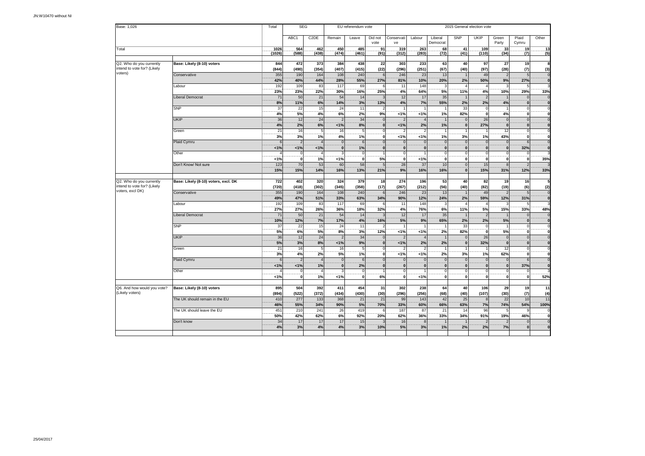| Base: 1,026                                     |                                      | Total           | <b>SEG</b>               |                   |                                | EU referendum vote      |                          | 2015 General election vote |                                |                            |                                |                                |                          |                                |                             |  |  |  |
|-------------------------------------------------|--------------------------------------|-----------------|--------------------------|-------------------|--------------------------------|-------------------------|--------------------------|----------------------------|--------------------------------|----------------------------|--------------------------------|--------------------------------|--------------------------|--------------------------------|-----------------------------|--|--|--|
|                                                 |                                      |                 | ABC1                     | C <sub>2</sub> DE | Remain                         | Leave                   | Did not<br>vote          | Conservati<br>ve           | Labour                         | Liberal<br>Democrat        | <b>SNP</b>                     | <b>UKIP</b>                    | Green<br>Party           | Plaid<br>Cymru                 | Other                       |  |  |  |
| Total                                           |                                      | 1026            | .564                     | 462               | .450                           | 485                     | .91.                     | 319                        | .263                           | .68                        | .41                            | .109                           | 33                       | .19                            | .13                         |  |  |  |
|                                                 |                                      | (1026)          | (588)                    | (438)             | (474)                          | (461)                   | (91)                     | (312)                      | (283)                          | (72)                       | (41)                           | (110)                          | (34)                     | (7)                            | (5)                         |  |  |  |
| Q2. Who do you currently                        | Base: Likely (8-10) voters           | 844             | 472                      | 373               | 384                            | 438                     | 22                       | 303                        | 233                            | 63                         | 40                             | 97                             | 27                       | 19                             | 8                           |  |  |  |
| intend to vote for? (Likely                     |                                      | (844)           | (490)                    | (354)             | (407)                          | (415)                   | (22)                     | (296)                      | (251)                          | (67)                       | (40)                           | (97)                           | (28)                     | (7)                            | (3)                         |  |  |  |
| voters)                                         | Conservative                         | 355             | 190                      | 164               | 108                            | 240                     |                          | 246                        | 23                             | 13                         | 1                              | 49                             | $\overline{2}$           | 5                              | $\overline{0}$              |  |  |  |
|                                                 |                                      | 42%             | 40%                      | 44%               | 28%                            | 55%                     | 27%                      | 81%                        | 10%                            | 20%                        | 2%                             | 50%                            | 9%                       | 27%                            | $\overline{0}$              |  |  |  |
|                                                 | Labour                               | 192             | 109                      | 83                | 117                            | 69                      |                          | 11                         | 148                            | p                          | 4                              |                                |                          | 5                              |                             |  |  |  |
|                                                 |                                      | 23%<br>71       | 23%<br>50                | 22%<br>21         | 30%<br>54                      | 16%<br>14               | 25%                      | 4%<br>12                   | 64%<br>17                      | 5%<br>35                   | 11%<br>$\overline{1}$          | 4%<br>$\overline{2}$           | 10%                      | 29%                            | 33%<br>$\mathbf 0$          |  |  |  |
|                                                 | Liberal Democrat                     | 8%              | 11%                      | 6%                | 14%                            | 3%                      | 13%                      | 4%                         | 7%                             | 55%                        | 2%                             | 2%                             | 4%                       | $\overline{0}$<br>$\mathbf{0}$ | $\overline{\mathbf{0}}$     |  |  |  |
|                                                 | SNP                                  | 37              | 22                       | 15                | 24                             | 11                      |                          |                            |                                |                            | 33                             | $\Omega$                       |                          | $\circ$                        | $\Omega$                    |  |  |  |
|                                                 |                                      | 4%              | 5%                       | 4%                | 6%                             | 2%                      | 9%                       | 1%                         | 1%                             | 1%                         | 82%                            | $\mathbf{0}$                   | 4%                       | οl                             | $\mathbf{0}$                |  |  |  |
|                                                 | <b>UKIP</b>                          | 36              | 12                       | 24                | $\overline{2}$                 | $\overline{34}$         |                          | $\overline{2}$             |                                |                            | $\mathbf 0$                    | 26                             | $\Omega$                 | $\overline{0}$                 | $\mathbf 0$                 |  |  |  |
|                                                 |                                      | 4%              | 2%                       | 6%                | 1%                             | 8%                      | $\bf{0}$                 | 1%                         | 2%                             | 1%                         | $\mathbf 0$                    | 27%                            | $\bf{0}$                 | $\mathbf{0}$                   | $\mathbf 0$                 |  |  |  |
|                                                 | Green                                | 21              | 16                       | 5                 | 16                             | 5                       | $\Omega$                 |                            |                                |                            | 1                              |                                | 12                       | $\circ$                        | $\overline{0}$              |  |  |  |
|                                                 |                                      | 3%              | 3%                       | 1%                | 4%                             | 1%                      | ö                        | 1%                         | 1%                             | 1%                         | 3%                             | 1%                             | 43%                      | 0                              | ö                           |  |  |  |
|                                                 | Plaid Cymru                          | $\epsilon$      | $\overline{\phantom{0}}$ |                   | $\overline{0}$                 | $6\phantom{1}6$         |                          | $\Omega$                   | $\Omega$                       | $\epsilon$                 | $\mathbf{0}$                   | $\Omega$                       | $\Omega$                 | 6                              | $\overline{0}$              |  |  |  |
|                                                 | Other                                | 1%              | 1%<br>$\Omega$           | 1%                | $\overline{\mathbf{0}}$<br>3   | 1%<br>$\mathbf 0$       |                          | $\Omega$                   | $\mathbf{0}$                   | $\Omega$<br>$\Omega$       | $\mathbf 0$<br>$\mathbf 0$     | $\Omega$<br>$\overline{0}$     | $\mathbf{0}$<br>$\Omega$ | 32%                            | $\overline{0}$              |  |  |  |
|                                                 |                                      | 1%              | $\mathbf 0$              | 1%                | 1%                             | ö                       | 5%                       | 0<br>$\mathbf{0}$          | 1%                             | $\mathbf{0}$               | $\mathbf{0}$                   | $\mathbf{0}$                   | $\mathbf 0$              | $\circ$<br>$\mathbf{0}$        | 35%                         |  |  |  |
|                                                 | Don't Know/ Not sure                 | 123             | 70                       | 53                | 60                             | 58                      |                          | 28                         | 37                             | 10                         | $\mathbf 0$                    | 15                             | $\mathbf{8}$             | 2                              |                             |  |  |  |
|                                                 |                                      | 15%             | 15%                      | 14%               | 16%                            | 13%                     | 21%                      | 9%                         | 16%                            | 16%                        | $\overline{0}$                 | 15%                            | 31%                      | 12%                            | 33%                         |  |  |  |
|                                                 |                                      |                 |                          |                   |                                |                         |                          |                            |                                |                            |                                |                                |                          |                                |                             |  |  |  |
| Q2. Who do you currently                        | Base: Likely (8-10) voters, excl. DK | 722             | 402                      | 320               | 324                            | 379                     | 18                       | 274                        | 196                            | 53                         | 40                             | 82                             | 19                       | 16                             | 5                           |  |  |  |
| intend to vote for? (Likely<br>voters, excl DK) |                                      | (720)           | (418)                    | (302)             | (345)                          | (358)                   | (17)                     | (267)                      | (212)                          | (56)                       | (40)                           | (82)                           | (19)                     | (6)                            | (2)                         |  |  |  |
|                                                 | Conservative                         | 355             | 190                      | 164               | 108                            | 240                     |                          | 246                        | 23                             | 13                         |                                | 49                             |                          | 5                              | $\mathbf 0$                 |  |  |  |
|                                                 |                                      | 49%             | <b>47%</b>               | 51%               | 33%                            | 63%                     | 34%                      | 90%                        | 12%                            | 24%                        | 2%                             | 59%                            | 12%                      | 31%                            | $\mathbf{0}$                |  |  |  |
|                                                 | Labour                               | 192<br>27%      | 109<br>27%               | 83                | 117<br>36%                     | 69<br>18%               |                          | 11<br>4%                   | 148<br>76%                     | 3<br>6%                    | $\overline{4}$<br>11%          | $\boldsymbol{\Delta}$          | 15%                      | 5                              |                             |  |  |  |
|                                                 | <b>Liberal Democrat</b>              | 71              | 50                       | 26%<br>21         | 54                             | 14                      | 32%                      | 12                         | 17                             | 35                         | $\mathbf{1}$                   | 5%<br>$\overline{z}$           |                          | 33%<br>$\Omega$                | 48%<br>$\overline{0}$       |  |  |  |
|                                                 |                                      | 10%             | 12%                      | 7%                | 17%                            | 4%                      | 16%                      | 5%                         | 9%                             | 65%                        | 2%                             | 2%                             | 5%                       | $\mathbf{0}$                   | $\overline{\mathbf{0}}$     |  |  |  |
|                                                 | SNP                                  | 37              | 22                       | 15                | 24                             | 11                      |                          |                            |                                |                            | 33                             | $\Omega$                       |                          | $\circ$                        | $\mathbf 0$                 |  |  |  |
|                                                 |                                      | 5%              | 6%                       | 5%                | 8%                             | 3%                      | 12%                      | 1%                         | 1%                             | 2%                         | 82%                            | $\mathbf{0}$                   | 5%                       | $\mathbf{0}$                   | o                           |  |  |  |
|                                                 | <b>UKIP</b>                          | 36              | 12                       | 24                | $\overline{2}$                 | 34                      |                          |                            |                                |                            | $\mathbf 0$                    | 26                             | $\mathbf{0}$             | $\Omega$                       | $\mathbf 0$                 |  |  |  |
|                                                 |                                      | 5%              | 3%                       | 8%                | 1%                             | 9%                      | $\bf{0}$                 | 1%                         | 2%                             | 2%                         | $\mathbf 0$                    | 32%                            | $\mathbf{0}$             | $\mathbf{0}$                   | $\mathbf{0}$                |  |  |  |
|                                                 | Green                                | $\overline{21}$ | 16                       | 5                 | 16                             | 5                       |                          |                            |                                |                            | $\mathbf{1}$                   |                                | 12                       | $\overline{0}$                 | $\circ$                     |  |  |  |
|                                                 |                                      | 3%              | 4%                       | 2%                | 5%                             | 1%                      | $\mathbf 0$              | 1%                         | 1%                             | 2%                         | 3%                             | 1%                             | 62%                      | $\mathbf{0}$                   | ō                           |  |  |  |
|                                                 | Plaid Cymru                          | 6<br>1%         | $\overline{\phantom{0}}$ | 1%                | $\overline{0}$<br>$\mathbf{0}$ | 6<br>2%                 | $\Omega$<br>$\mathbf{0}$ | $\Omega$<br>$\mathbf{0}$   | $\overline{0}$<br>$\mathbf{0}$ | $\overline{0}$<br>$\bf{0}$ | $\overline{0}$<br>$\mathbf{0}$ | $\overline{0}$<br>$\mathbf{0}$ | $\mathbf{0}$<br> 0       | $6 \mid$<br>37%                | $\mathbf 0$<br>$\mathbf{0}$ |  |  |  |
|                                                 | Other                                |                 | 1%<br>$\Omega$           |                   | 3                              | $\mathbf 0$             |                          | $\Omega$                   |                                | $\Omega$                   | $\mathbf 0$                    | $\Omega$                       | $\Omega$                 | $\Omega$                       |                             |  |  |  |
|                                                 |                                      | 1%              | 0                        | 1%                | 1%                             | $\overline{\mathbf{0}}$ | 6%                       | $\mathbf{0}$               | 1%                             | $\Omega$                   | $\mathbf{0}$                   | $\Omega$                       | οl                       | 0                              | 52%                         |  |  |  |
|                                                 |                                      |                 |                          |                   |                                |                         |                          |                            |                                |                            |                                |                                |                          |                                |                             |  |  |  |
| Q6. And how would you vote?                     | Base: Likely (8-10) voters           | 895             | 504                      | 392               | 411                            | 454                     | 31                       | 302                        | 238                            | 64                         | 40                             | 106                            | 29                       | 19                             | 11                          |  |  |  |
| (Likely voters)                                 |                                      | (894)           | (522)                    | (372)             | (434)                          | (430)                   | (30)                     | (296)                      | (256)                          | (68)                       | (40)                           | (107)                          | (30)                     | (7)                            | (4)                         |  |  |  |
|                                                 | The UK should remain in the EU       | 410             | 277                      | 133               | 368                            | 21                      | 21                       | 99                         | 143                            | 42                         | 25                             | 8 <sup>1</sup>                 | 22                       | 10                             | 11                          |  |  |  |
|                                                 |                                      | 46%             | 55%                      | 34%               | 90%                            | 5%                      | 70%                      | 33%                        | 60%                            | 66%                        | 63%                            | 7%                             | 74%                      | 54%                            | 100%                        |  |  |  |
|                                                 | The UK should leave the EU           | 451             | 210                      | 241               | 26                             | 419                     |                          | 187                        | 87                             | 21                         | 14                             | 96                             |                          | 9                              |                             |  |  |  |
|                                                 |                                      | 50%             | 42%                      | 62%               | 6%                             | 92%                     | 20%                      | 62%                        | 36%                            | 33%                        | 34%                            | 91%                            | 19%                      | 46%                            | $\mathbf{0}$                |  |  |  |
|                                                 | Don't know                           | 34<br>4%        | 17<br>3%                 | 17                | 17<br>4%                       | 15<br>3%                |                          | 16<br>5%                   | $\mathbf{8}$<br>3%             | 1%                         | 2%                             | $\overline{\phantom{a}}$<br>2% | 7%                       | $\Omega$<br>$\Omega$           | $\mathbf 0$<br>$\Omega$     |  |  |  |
|                                                 |                                      |                 |                          | 4%                |                                |                         | 10%                      |                            |                                |                            |                                |                                |                          |                                |                             |  |  |  |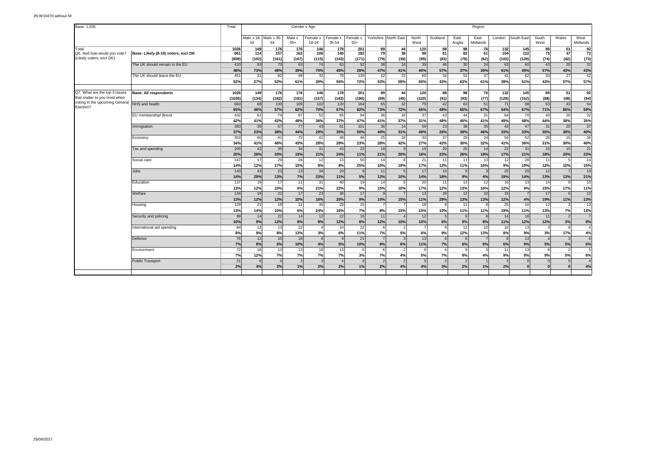| Base: 1,026                                                    |                                     | Total         |                             |              |                 | Gender x Age      |                   |                   | Region                 |                |                |                |                |                  |                    |                |                        |                |                  |  |
|----------------------------------------------------------------|-------------------------------------|---------------|-----------------------------|--------------|-----------------|-------------------|-------------------|-------------------|------------------------|----------------|----------------|----------------|----------------|------------------|--------------------|----------------|------------------------|----------------|------------------|--|
|                                                                |                                     |               | Male x 18- Male x 35-<br>34 | 54           | Male x<br>$55+$ | Female x<br>18-34 | Female x<br>35-54 | Female x<br>$55+$ | Yorkshire              | North East     | North<br>West  | Scotland       | East<br>Anglia | East<br>Midlands | London             | South East     | South<br>West          | Wales          | West<br>Midlands |  |
| Total<br>Q6. And how would you vote?                           | Base: Likely (8-10) voters, excl DK | 1026<br>861   | .149<br>114                 | .176<br>157  | .176<br>162     | .146<br>106       | .178<br>140       | .201<br>182       | .89.<br>79             | .44<br>38      | .120<br>99     | .88<br>81      | .98.<br>82     | .76<br>61        | 132<br>104         | .145<br>122    | .89 <sub>1</sub><br>75 | 51<br>47       | $\frac{92}{72}$  |  |
| (Likely voters, excl DK)                                       |                                     | (859)         | (102)                       | (161)        | (167)           | (115)             | (143)             | (171)             | (79)                   | (39)           | (99)           | (83)           | (78)           | (62)             | (102)              | (128)          | (74)                   | (42)           | (73)             |  |
|                                                                | The UK should remain in the EU      | 410<br>48%    | 83<br>73%                   | 75<br>48%    | 63<br>39%       | 74<br>70%         | 63<br>45%         | 52<br>28%         | 38<br>47%              | 16<br>41%      | 39<br>40%      | 46<br>57%      | 30<br>37%      | 24<br>39%        | 63<br>61%          | 60<br>49%      | 43<br>57%              | 20<br>43%      | 31<br>43%        |  |
|                                                                | The UK should leave the EU          | 451           | 31                          | 82           | 99              | 32                | 78                | 130               | 42                     | 22             | 60             | 34             | 52             | 37               | 41                 | 62             | 33                     | 27             | 42               |  |
|                                                                |                                     | 52%           | 27%                         | 52%          | 61%             | 30%               | 55%               | 72%               | 53%                    | 59%            | 60%            | 43%            | 63%            | 61%              | 39%                | 51%            | 43%                    | 57%            | 57%              |  |
| Q7. What are the top 3 issues                                  | <b>Base: All respondents</b>        | 1026          | 149                         | 176          | 176             | 146               | 178               | 201               | 89                     | 44             | 120            | 88             | 98             | 76               | 132                | 145            | 89                     | 51             | 92               |  |
| that matter to you most when<br>voting in the upcoming General | NHS and health                      | (1026)<br>663 | (134)<br>68                 | (182)<br>100 | (181)<br>109    | (157)<br>102      | (182)<br>120      | (190)<br>164      | (89)<br>65             | (45)<br>32     | (120)<br>79    | (91)<br>42     | (93)<br>63     | (77)<br>51       | (129)<br>71        | (152)<br>98    | (88)<br>63             | (48)<br>43     | (94)<br>54       |  |
| Election?                                                      |                                     | 65%           | 46%                         | 57%          | 62%             | 70%               | 67%               | 82%               | 73%                    | 72%            | 66%            | 48%            | 65%            | 67%              | 54%                | 67%            | 71%                    | 85%            | 59%              |  |
|                                                                | EU membership/ Brexit               | 432           | 61                          | 74           | 87              | 52                | 65                | 94                | 36                     | 16             | 37             | 43             | 44             | 31               | 64                 | 70             | 40                     | 20             | 32               |  |
|                                                                |                                     | 42%           | 41%                         | 42%          | 49%             | 36%               | 37%               | 47%               | 41%                    | 37%            | 31%            | 48%            | 45%            | 41%              | 49%                | 48%            | 44%                    | 38%            | 35%              |  |
|                                                                | Immigration                         | 383           | 35                          | 67           | 77              | 43                | 61                | 101               | 36                     | 14             | 59             | 23             | 38             | 35               | 43                 | 47             | 31                     | 20             | 37               |  |
|                                                                |                                     | 37%<br>353    | 23%<br>60                   | 38%<br>81    | 44%<br>75       | 29%<br>41         | 35%<br>49         | 50%<br>46         | 40%<br>25              | 31%            | 49%<br>33      | 26%<br>37      | 39%<br>29      | 46%<br>24        | 33%<br>54          | 33%<br>52      | 35%<br>28              | 39%<br>15      | 40%<br>36        |  |
|                                                                | Economy                             | 34%           | 41%                         | 46%          | 43%             | 28%               | 28%               | 23%               | 28%                    | 18<br>42%      | 27%            | 42%            | 30%            | 32%              | 41%                | 36%            | 31%                    | 30%            | 40%              |  |
|                                                                | Tax and spending                    | 205           | 42                          | 35           | 34              | 31                | 43                | 22                | 18                     |                | 19             | 20             | 25             | 14               | 22                 | 31             | 16                     | 10             | 21               |  |
|                                                                |                                     | 20%           | 28%                         | 20%          | 19%             | 21%               | 24%               | 11%               | 21%                    | 20%            | 16%            | 23%            | 26%            | 18%              | 17%                | 21%            | 18%                    | 20%            | 23%              |  |
|                                                                | Social care                         | 147           | 17                          | 29           | 26              | 12                | 13                | 50                | 14                     |                | 21             | 11             | 11             | 13               | 12                 | 28             | 11                     |                | 14               |  |
|                                                                |                                     | 14%           | 12%                         | 17%          | 15%             | 8%                | 8%                | 25%               | 16%                    | 19%            | 17%            | 13%            | 11%            | 16%              | 9%                 | 19%            | 12%                    | 10%            | 15%              |  |
|                                                                | Jobs                                | 143           | 43                          | 23           | 13              | 34                | 20                |                   | 11                     |                | 17             | 15             | 9              | 3                | 25                 | 20             | 12                     |                | 19               |  |
|                                                                |                                     | 14%           | 29%                         | 13%          | 7%              | 23%               | 11%               | 5%                | 12%<br>$\overline{14}$ | 10%            | 14%            | 18%            | 9%             | 4%               | 19%                | 14%            | 13%                    | 13%            | 21%              |  |
|                                                                | Education                           | 137<br>13%    | 19<br>12%                   | 17<br>10%    | 11<br>6%        | 31<br>21%         | 40<br>22%         | 19<br>9%          | 15%                    | 10%            | 20<br>17%      | 11<br>12%      | 13<br>13%      | 12<br>16%        | 16<br>12%          | 13<br>9%       | 14<br>15%              | 17%            | 10<br>11%        |  |
|                                                                | Welfare                             | 134           | 19                          | 22           | 17              | 23                | 36                | 17                | 9                      |                | 13             | 26             | 12             | 10 <sup>1</sup>  | 15                 | $\overline{7}$ | 17                     |                | 12               |  |
|                                                                |                                     | 13%           | 12%                         | 12%          | 10%             | 16%               | 20%               | 9%                | 10%                    | 15%            | 11%            | 29%            | 13%            | 13%              | 12%                | 4%             | 19%                    | 11%            | 13%              |  |
|                                                                | Housing                             | 129           | 21                          | 18           | 11              | 35                | 29                | 15                |                        |                | 18             | 8              | 11             | £                | 25                 | 16             | 12                     |                | 13               |  |
|                                                                |                                     | 13%           | 14%                         | 10%          | ---<br>6%       | 24%               | 16%               | 7%                | <br>8%                 | 15%            | 15%            | 10%            | 11%            | 11%              | 19%                | 11%            | 13%                    | 7%             | 14%              |  |
|                                                                | Security and policing               | 99            | 14                          | 22           | 14              | 12                | 22                | 16                | 11                     |                | 12             | 5              | 9              | 6                | 14                 | 18             | 11                     | $\overline{2}$ |                  |  |
|                                                                |                                     | 10%           | 9%                          | 12%          | 8%              | 8%                | 12%               | 8%                | 12%                    | 10%            | 10%            | 6%             | 9%             | 8%               | 11%                | 12%            | 12%                    | 3%             | 8%               |  |
|                                                                | International aid spending          | 84            | 13                          | 13           | 22<br>13%       |                   | 10<br>6%          | 22                | 6                      | $\overline{2}$ | $\overline{7}$ | 8              | 12             | 10               | 10 <sup>1</sup>    | 13             | 3                      | q              |                  |  |
|                                                                | Defence                             | 8%<br>76      | 9%<br>12                    | 8%<br>10     | 18              | 3%                |                   | 11%<br>21         | 7%<br>$\overline{7}$   | 5%             | 6%<br>13       | 9%<br>6        | 12%<br>6       | 13%              | 8%<br>$\mathbf{a}$ | 9%<br>13       | 3%                     | 17%            | 4%               |  |
|                                                                |                                     | 7%            | 8%                          | 6%           | 10%             | 4%                | 5%                | 10%               | 8%                     | 6%             | 11%            | 7%             | 6%             | 9%               | 6%                 | 9%             | 5%                     | 5%             | 6%               |  |
|                                                                | Environment                         | 72            | 18                          | 13           | 13              | 10                | 13                |                   | 6                      | $\overline{2}$ | -6             | 6              | 9              | 3                | 11                 | 13             | 8                      | $\mathfrak{p}$ |                  |  |
|                                                                |                                     | 7%            | 12%                         | 7%           | 7%              | 7%                | 7%                | 3%                | 7%                     | 4%             | 5%             | 7%             | 9%             | 4%               | 9%                 | 9%             | 9%                     | 5%             | 6%               |  |
|                                                                | <b>Public Transport</b>             | 21            | $\epsilon$                  |              |                 |                   |                   |                   | $\overline{2}$         |                |                | $\overline{2}$ | $\overline{2}$ |                  | 3                  |                |                        | $\Omega$       |                  |  |
|                                                                |                                     | 2%            | 4%                          | 2%           | 1%              | 2%                | 2%                | 1%                | 2%                     | 4%             | 4%             | 3%             | 2%             | 1%               | 2%                 |                | $\Omega$               | U              | 4%               |  |
|                                                                |                                     |               |                             |              |                 |                   |                   |                   |                        |                |                |                |                |                  |                    |                |                        |                |                  |  |